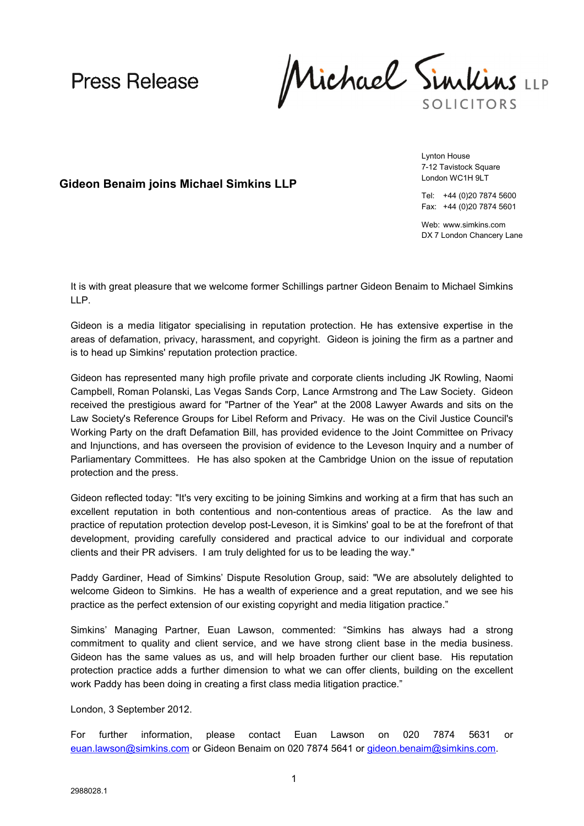**Press Release** 

Michael Sinikins SOLICITORS

**Gideon Benaim joins Michael Simkins LLP**

Lynton House 7-12 Tavistock Square London WC1H 9LT

Tel: +44 (0)20 7874 5600 Fax: +44 (0)20 7874 5601

Web: www.simkins.com DX 7 London Chancery Lane

It is with great pleasure that we welcome former Schillings partner Gideon Benaim to Michael Simkins LLP.

Gideon is a media litigator specialising in reputation protection. He has extensive expertise in the areas of defamation, privacy, harassment, and copyright. Gideon is joining the firm as a partner and is to head up Simkins' reputation protection practice.

Gideon has represented many high profile private and corporate clients including JK Rowling, Naomi Campbell, Roman Polanski, Las Vegas Sands Corp, Lance Armstrong and The Law Society. Gideon received the prestigious award for "Partner of the Year" at the 2008 Lawyer Awards and sits on the Law Society's Reference Groups for Libel Reform and Privacy. He was on the Civil Justice Council's Working Party on the draft Defamation Bill, has provided evidence to the Joint Committee on Privacy and Injunctions, and has overseen the provision of evidence to the Leveson Inquiry and a number of Parliamentary Committees. He has also spoken at the Cambridge Union on the issue of reputation protection and the press.

Gideon reflected today: "It's very exciting to be joining Simkins and working at a firm that has such an excellent reputation in both contentious and non-contentious areas of practice. As the law and practice of reputation protection develop post-Leveson, it is Simkins' goal to be at the forefront of that development, providing carefully considered and practical advice to our individual and corporate clients and their PR advisers. I am truly delighted for us to be leading the way."

Paddy Gardiner, Head of Simkins' Dispute Resolution Group, said: "We are absolutely delighted to welcome Gideon to Simkins. He has a wealth of experience and a great reputation, and we see his practice as the perfect extension of our existing copyright and media litigation practice."

Simkins' Managing Partner, Euan Lawson, commented: "Simkins has always had a strong commitment to quality and client service, and we have strong client base in the media business. Gideon has the same values as us, and will help broaden further our client base. His reputation protection practice adds a further dimension to what we can offer clients, building on the excellent work Paddy has been doing in creating a first class media litigation practice."

London, 3 September 2012.

For further information, please contact Euan Lawson on 020 7874 5631 or [euan.lawson@simkins.com](mailto:euan.lawson@simkins.com) or Gideon Benaim on 020 7874 5641 or [gideon.benaim@simkins.com](mailto:gideon.benaim@simkins.com).